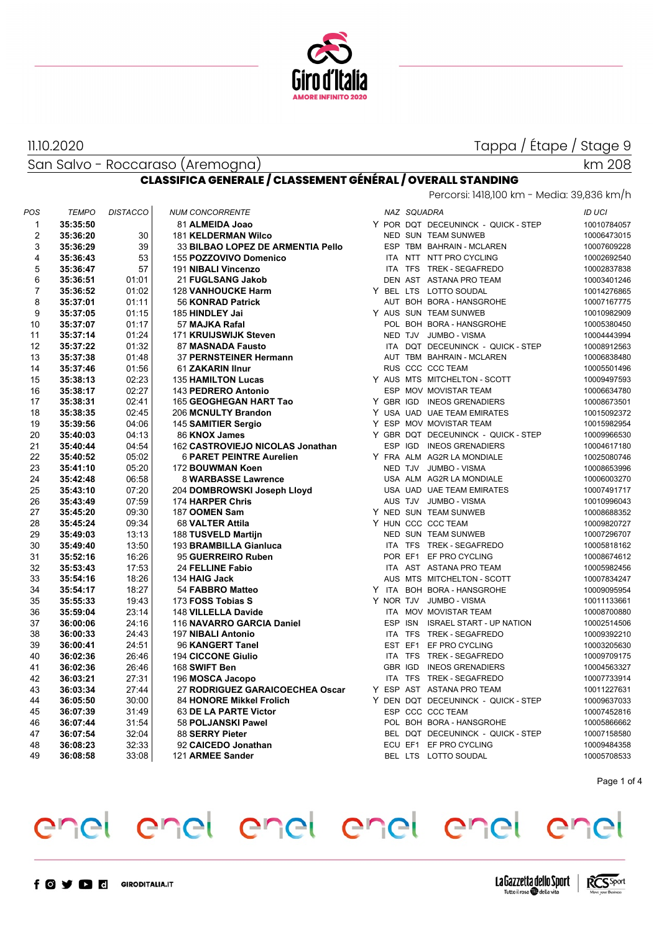

11.10.2020

San Salvo - Roccaraso (Aremogna)

# km 208

| <b>CLASSIFICA GENERALE / CLASSEMENT GÉNÉRAL / OVERALL STANDING</b> |                                            |  |
|--------------------------------------------------------------------|--------------------------------------------|--|
|                                                                    | Percorsi: 1418,100 km - Media: 39,836 km/h |  |

| POS            | <b>TEMPO</b> | <b>DISTACCO</b> | <b>NUM CONCORRENTE</b>            |  | NAZ SQUADRA |                                     | <b>ID UCI</b> |
|----------------|--------------|-----------------|-----------------------------------|--|-------------|-------------------------------------|---------------|
| 1              | 35:35:50     |                 | 81 ALMEIDA Joao                   |  |             | Y POR DQT DECEUNINCK - QUICK - STEP | 10010784057   |
| 2              | 35:36:20     | 30              | <b>181 KELDERMAN Wilco</b>        |  |             | NED SUN TEAM SUNWEB                 | 10006473015   |
| 3              | 35:36:29     | 39              | 33 BILBAO LOPEZ DE ARMENTIA Pello |  |             | ESP TBM BAHRAIN - MCLAREN           | 10007609228   |
| 4              | 35:36:43     | 53              | 155 POZZOVIVO Domenico            |  |             | ITA NTT NTT PRO CYCLING             | 10002692540   |
| 5              | 35:36:47     | 57              | 191 NIBALI Vincenzo               |  |             | ITA TFS TREK - SEGAFREDO            | 10002837838   |
| 6              | 35:36:51     | 01:01           | 21 FUGLSANG Jakob                 |  |             | DEN AST ASTANA PRO TEAM             | 10003401246   |
| $\overline{7}$ | 35:36:52     | 01:02           | <b>128 VANHOUCKE Harm</b>         |  |             | Y BEL LTS LOTTO SOUDAL              | 10014276865   |
| 8              | 35:37:01     | 01:11           | 56 KONRAD Patrick                 |  |             | AUT BOH BORA - HANSGROHE            | 10007167775   |
| 9              | 35:37:05     | 01:15           | 185 HINDLEY Jai                   |  |             | Y AUS SUN TEAM SUNWEB               | 10010982909   |
| 10             | 35:37:07     | 01:17           | 57 MAJKA Rafal                    |  |             | POL BOH BORA - HANSGROHE            | 10005380450   |
| 11             | 35:37:14     | 01:24           | 171 KRUIJSWIJK Steven             |  |             | NED TJV JUMBO - VISMA               | 10004443994   |
| 12             | 35:37:22     | 01:32           | 87 MASNADA Fausto                 |  |             | ITA DQT DECEUNINCK - QUICK - STEP   | 10008912563   |
| 13             | 35:37:38     | 01:48           | 37 PERNSTEINER Hermann            |  |             | AUT TBM BAHRAIN - MCLAREN           | 10006838480   |
| 14             | 35:37:46     | 01:56           | 61 ZAKARIN IInur                  |  |             | RUS CCC CCC TEAM                    | 10005501496   |
| 15             | 35:38:13     | 02:23           | <b>135 HAMILTON Lucas</b>         |  |             | Y AUS MTS MITCHELTON - SCOTT        | 10009497593   |
| 16             | 35:38:17     | 02:27           | 143 PEDRERO Antonio               |  |             | ESP MOV MOVISTAR TEAM               | 10006634780   |
| 17             | 35:38:31     | 02:41           | 165 GEOGHEGAN HART Tao            |  |             | Y GBR IGD INEOS GRENADIERS          | 10008673501   |
| 18             | 35:38:35     | 02:45           | 206 MCNULTY Brandon               |  |             | Y USA UAD UAE TEAM EMIRATES         | 10015092372   |
| 19             | 35:39:56     | 04:06           | 145 SAMITIER Sergio               |  |             | Y ESP MOV MOVISTAR TEAM             | 10015982954   |
| 20             | 35:40:03     | 04:13           | 86 KNOX James                     |  |             | Y GBR DQT DECEUNINCK - QUICK - STEP | 10009966530   |
| 21             | 35:40:44     | 04:54           | 162 CASTROVIEJO NICOLAS Jonathan  |  |             | ESP IGD INEOS GRENADIERS            | 10004617180   |
| 22             | 35:40:52     | 05:02           | <b>6 PARET PEINTRE Aurelien</b>   |  |             | Y FRA ALM AG2R LA MONDIALE          | 10025080746   |
| 23             | 35:41:10     | 05:20           | 172 BOUWMAN Koen                  |  |             | NED TJV JUMBO - VISMA               | 10008653996   |
| 24             | 35:42:48     | 06:58           | 8 WARBASSE Lawrence               |  |             | USA ALM AG2R LA MONDIALE            | 10006003270   |
| 25             | 35:43:10     | 07:20           | 204 DOMBROWSKI Joseph Lloyd       |  |             | USA UAD UAE TEAM EMIRATES           | 10007491717   |
| 26             | 35:43:49     | 07:59           | 174 HARPER Chris                  |  |             | AUS TJV JUMBO - VISMA               | 10010996043   |
| 27             | 35:45:20     | 09:30           | 187 OOMEN Sam                     |  |             | Y NED SUN TEAM SUNWEB               | 10008688352   |
| 28             | 35:45:24     | 09:34           | 68 VALTER Attila                  |  |             | Y HUN CCC CCC TEAM                  | 10009820727   |
| 29             | 35:49:03     | 13:13           | 188 TUSVELD Martijn               |  |             | NED SUN TEAM SUNWEB                 | 10007296707   |
| 30             | 35:49:40     | 13:50           | 193 BRAMBILLA Gianluca            |  |             | ITA TFS TREK - SEGAFREDO            | 10005818162   |
| 31             | 35:52:16     | 16:26           | 95 GUERREIRO Ruben                |  |             | POR EF1 EF PRO CYCLING              | 10008674612   |
| 32             | 35:53:43     | 17:53           | 24 FELLINE Fabio                  |  |             | ITA AST ASTANA PRO TEAM             | 10005982456   |
| 33             | 35:54:16     | 18:26           | 134 HAIG Jack                     |  |             | AUS MTS MITCHELTON - SCOTT          | 10007834247   |
| 34             | 35:54:17     | 18:27           | 54 FABBRO Matteo                  |  |             | Y ITA BOH BORA-HANSGROHE            | 10009095954   |
| 35             | 35:55:33     | 19:43           | 173 FOSS Tobias S                 |  |             | Y NOR TJV JUMBO - VISMA             | 10011133661   |
| 36             | 35:59:04     | 23:14           | 148 VILLELLA Davide               |  |             | ITA MOV MOVISTAR TEAM               | 10008700880   |
| 37             | 36:00:06     | 24:16           | 116 NAVARRO GARCIA Daniel         |  |             | ESP ISN ISRAEL START - UP NATION    | 10002514506   |
| 38             | 36:00:33     | 24:43           | 197 NIBALI Antonio                |  |             | ITA TFS TREK - SEGAFREDO            | 10009392210   |
| 39             | 36:00:41     | 24:51           | 96 KANGERT Tanel                  |  |             | EST EF1 EF PRO CYCLING              | 10003205630   |
| 40             | 36:02:36     | 26:46           | <b>194 CICCONE Giulio</b>         |  |             | ITA TFS TREK - SEGAFREDO            | 10009709175   |
| 41             | 36:02:36     | 26:46           | 168 SWIFT Ben                     |  | GBR IGD     | <b>INEOS GRENADIERS</b>             | 10004563327   |
| 42             | 36:03:21     | 27:31           | 196 MOSCA Jacopo                  |  |             | ITA TFS TREK - SEGAFREDO            | 10007733914   |
| 43             | 36:03:34     | 27:44           | 27 RODRIGUEZ GARAICOECHEA Oscar   |  |             | Y ESP AST ASTANA PRO TEAM           | 10011227631   |
| 44             | 36:05:50     | 30:00           | 84 HONORE Mikkel Frolich          |  |             | Y DEN DQT DECEUNINCK - QUICK - STEP | 10009637033   |
| 45             | 36:07:39     | 31:49           | 63 DE LA PARTE Victor             |  |             | ESP CCC CCC TEAM                    | 10007452816   |
| 46             | 36:07:44     | 31:54           | 58 POLJANSKI Pawel                |  |             | POL BOH BORA - HANSGROHE            | 10005866662   |
| 47             | 36:07:54     | 32:04           | 88 SERRY Pieter                   |  |             | BEL DQT DECEUNINCK - QUICK - STEP   | 10007158580   |
| 48             | 36:08:23     | 32:33           | 92 CAICEDO Jonathan               |  |             | ECU EF1 EF PRO CYCLING              | 10009484358   |
| 49             | 36:08:58     | 33:08           | 121 ARMEE Sander                  |  |             | BEL LTS LOTTO SOUDAL                | 10005708533   |

Page 1 of 4

# enel enel enel enel enel enel

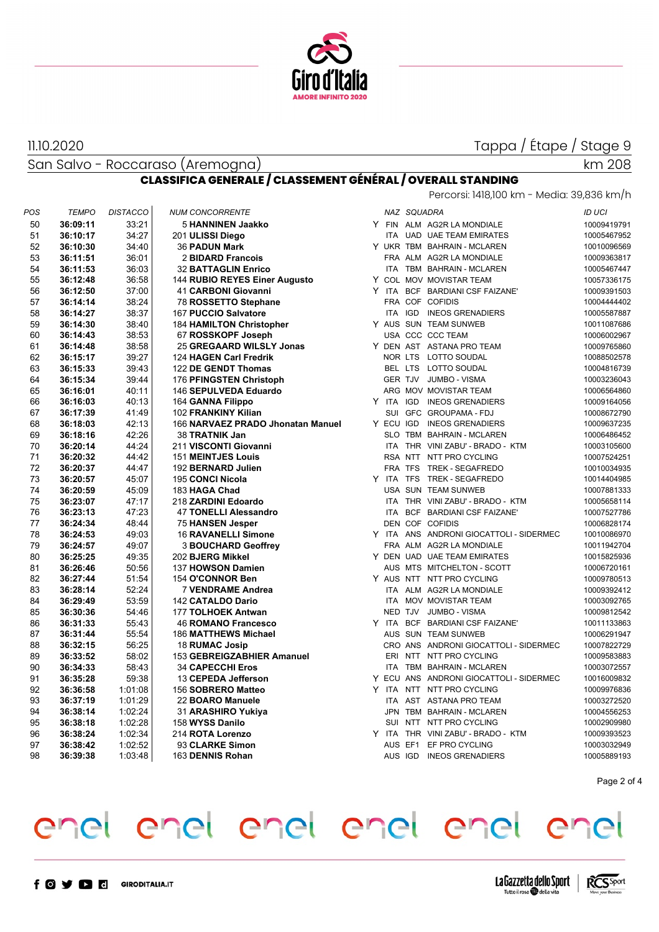

San Salvo - Roccaraso (Aremogna) 11.10.2020

km 208

#### **CLASSIFICA GENERALE / CLASSEMENT GÉNÉRAL / OVERALL STANDING**

|     |              |                 |                                   |            |             | Percorsi: 1418,100 km - Media: 39,836 km/h |               |
|-----|--------------|-----------------|-----------------------------------|------------|-------------|--------------------------------------------|---------------|
| POS | <b>TEMPO</b> | <b>DISTACCO</b> | <b>NUM CONCORRENTE</b>            |            | NAZ SQUADRA |                                            | <b>ID UCI</b> |
| 50  | 36:09:11     | 33:21           | 5 HANNINEN Jaakko                 |            |             | Y FIN ALM AG2R LA MONDIALE                 | 10009419791   |
| 51  | 36:10:17     | 34:27           | 201 ULISSI Diego                  |            |             | ITA UAD UAE TEAM EMIRATES                  | 10005467952   |
| 52  | 36:10:30     | 34:40           | <b>36 PADUN Mark</b>              |            |             | Y UKR TBM BAHRAIN - MCLAREN                | 10010096569   |
| 53  | 36:11:51     | 36:01           | 2 BIDARD Francois                 |            |             | FRA ALM AG2R LA MONDIALE                   | 10009363817   |
| 54  | 36:11:53     | 36:03           | <b>32 BATTAGLIN Enrico</b>        |            |             | ITA TBM BAHRAIN - MCLAREN                  | 10005467447   |
| 55  | 36:12:48     | 36:58           | 144 RUBIO REYES Einer Augusto     |            |             | Y COL MOV MOVISTAR TEAM                    | 10057336175   |
| 56  | 36:12:50     | 37:00           | 41 CARBONI Giovanni               |            |             | Y ITA BCF BARDIANI CSF FAIZANE'            | 10009391503   |
| 57  | 36:14:14     | 38:24           | 78 ROSSETTO Stephane              |            |             | FRA COF COFIDIS                            | 10004444402   |
| 58  | 36:14:27     | 38:37           | 167 PUCCIO Salvatore              |            |             | ITA IGD INEOS GRENADIERS                   | 10005587887   |
| 59  | 36:14:30     | 38:40           | <b>184 HAMILTON Christopher</b>   |            |             | Y AUS SUN TEAM SUNWEB                      | 10011087686   |
| 60  | 36:14:43     | 38:53           | 67 ROSSKOPF Joseph                |            |             | USA CCC CCC TEAM                           | 10006002967   |
| 61  | 36:14:48     | 38:58           | 25 GREGAARD WILSLY Jonas          |            |             | Y DEN AST ASTANA PRO TEAM                  | 10009765860   |
| 62  | 36:15:17     | 39:27           | 124 HAGEN Carl Fredrik            |            |             | NOR LTS LOTTO SOUDAL                       | 10088502578   |
| 63  | 36:15:33     | 39:43           | 122 DE GENDT Thomas               |            |             | BEL LTS LOTTO SOUDAL                       | 10004816739   |
| 64  | 36:15:34     | 39:44           | 176 PFINGSTEN Christoph           |            |             | GER TJV JUMBO - VISMA                      | 10003236043   |
| 65  | 36:16:01     | 40:11           | 146 SEPULVEDA Eduardo             |            |             | ARG MOV MOVISTAR TEAM                      | 10006564860   |
| 66  | 36:16:03     | 40:13           | 164 GANNA Filippo                 |            |             | Y ITA IGD INEOS GRENADIERS                 | 10009164056   |
| 67  | 36:17:39     | 41:49           | 102 FRANKINY Kilian               |            |             | SUI GFC GROUPAMA - FDJ                     | 10008672790   |
| 68  | 36:18:03     | 42:13           | 166 NARVAEZ PRADO Jhonatan Manuel |            |             | Y ECU IGD INEOS GRENADIERS                 | 10009637235   |
| 69  | 36:18:16     | 42:26           | 38 TRATNIK Jan                    |            |             | SLO TBM BAHRAIN - MCLAREN                  | 10006486452   |
| 70  | 36:20:14     | 44:24           | 211 VISCONTI Giovanni             |            |             | ITA THR VINI ZABU' - BRADO - KTM           | 10003105600   |
| 71  | 36:20:32     | 44:42           | <b>151 MEINTJES Louis</b>         |            |             | RSA NTT NTT PRO CYCLING                    | 10007524251   |
| 72  | 36:20:37     | 44:47           | 192 BERNARD Julien                |            |             | FRA TFS TREK - SEGAFREDO                   | 10010034935   |
| 73  | 36:20:57     | 45:07           | 195 CONCI Nicola                  |            |             | Y ITA TFS TREK - SEGAFREDO                 | 10014404985   |
| 74  | 36:20:59     | 45:09           | 183 HAGA Chad                     |            |             | USA SUN TEAM SUNWEB                        | 10007881333   |
| 75  | 36:23:07     | 47:17           | 218 ZARDINI Edoardo               |            |             | ITA THR VINI ZABU' - BRADO - KTM           | 10005658114   |
| 76  | 36:23:13     | 47:23           | <b>47 TONELLI Alessandro</b>      |            |             | ITA BCF BARDIANI CSF FAIZANE'              | 10007527786   |
| 77  | 36:24:34     | 48:44           | 75 HANSEN Jesper                  |            |             | DEN COF COFIDIS                            | 10006828174   |
| 78  | 36:24:53     | 49:03           | <b>16 RAVANELLI Simone</b>        |            |             | Y ITA ANS ANDRONI GIOCATTOLI - SIDERMEC    | 10010086970   |
| 79  | 36:24:57     | 49:07           | <b>3 BOUCHARD Geoffrey</b>        |            |             | FRA ALM AG2R LA MONDIALE                   | 10011942704   |
| 80  | 36:25:25     | 49:35           | 202 BJERG Mikkel                  |            |             | Y DEN UAD UAE TEAM EMIRATES                | 10015825936   |
| 81  | 36:26:46     | 50:56           | 137 HOWSON Damien                 |            |             | AUS MTS MITCHELTON - SCOTT                 | 10006720161   |
| 82  | 36:27:44     | 51:54           | 154 O'CONNOR Ben                  |            |             | Y AUS NTT NTT PRO CYCLING                  | 10009780513   |
| 83  | 36:28:14     | 52:24           | <b>7 VENDRAME Andrea</b>          |            |             | ITA ALM AG2R LA MONDIALE                   | 10009392412   |
| 84  | 36:29:49     | 53:59           | 142 CATALDO Dario                 | <b>ITA</b> |             | MOV MOVISTAR TEAM                          | 10003092765   |
| 85  | 36:30:36     | 54:46           | 177 TOLHOEK Antwan                |            |             | NED TJV JUMBO - VISMA                      | 10009812542   |
| 86  | 36:31:33     | 55:43           | <b>46 ROMANO Francesco</b>        |            |             | Y ITA BCF BARDIANI CSF FAIZANE'            | 10011133863   |
| 87  | 36:31:44     | 55:54           | 186 MATTHEWS Michael              |            |             | AUS SUN TEAM SUNWEB                        | 10006291947   |
| 88  | 36:32:15     | 56:25           | 18 RUMAC Josip                    |            |             | CRO ANS ANDRONI GIOCATTOLI - SIDERMEC      | 10007822729   |
| 89  | 36:33:52     | 58:02           | 153 GEBREIGZABHIER Amanuel        |            |             | ERI NTT NTT PRO CYCLING                    | 10009583883   |
| 90  | 36:34:33     | 58:43           | <b>34 CAPECCHI Eros</b>           |            |             | ITA TBM BAHRAIN - MCLAREN                  | 10003072557   |
| 91  | 36:35:28     | 59:38           | 13 CEPEDA Jefferson               |            |             | Y ECU ANS ANDRONI GIOCATTOLI - SIDERMEC    | 10016009832   |
| 92  | 36:36:58     | 1:01:08         | 156 SOBRERO Matteo                |            |             | Y ITA NTT NTT PRO CYCLING                  | 10009976836   |
| 93  | 36:37:19     | 1:01:29         | 22 BOARO Manuele                  |            |             | ITA AST ASTANA PRO TEAM                    | 10003272520   |
| 94  | 36:38:14     | 1:02:24         | 31 ARASHIRO Yukiya                |            |             | JPN TBM BAHRAIN - MCLAREN                  | 10004556253   |
| 95  | 36:38:18     | 1:02:28         | 158 WYSS Danilo                   |            |             | SUI NTT NTT PRO CYCLING                    | 10002909980   |
| 96  | 36:38:24     | 1:02:34         | 214 ROTA Lorenzo                  |            |             | Y ITA THR VINI ZABU' - BRADO - KTM         | 10009393523   |
| 97  | 36:38:42     | 1:02:52         | 93 CLARKE Simon                   |            |             | AUS EF1 EF PRO CYCLING                     | 10003032949   |
| 98  | 36:39:38     | 1:03:48         | 163 DENNIS Rohan                  |            |             | AUS IGD INEOS GRENADIERS                   | 10005889193   |
|     |              |                 |                                   |            |             |                                            |               |

Page 2 of 4

# enel enel enel enel enel enel



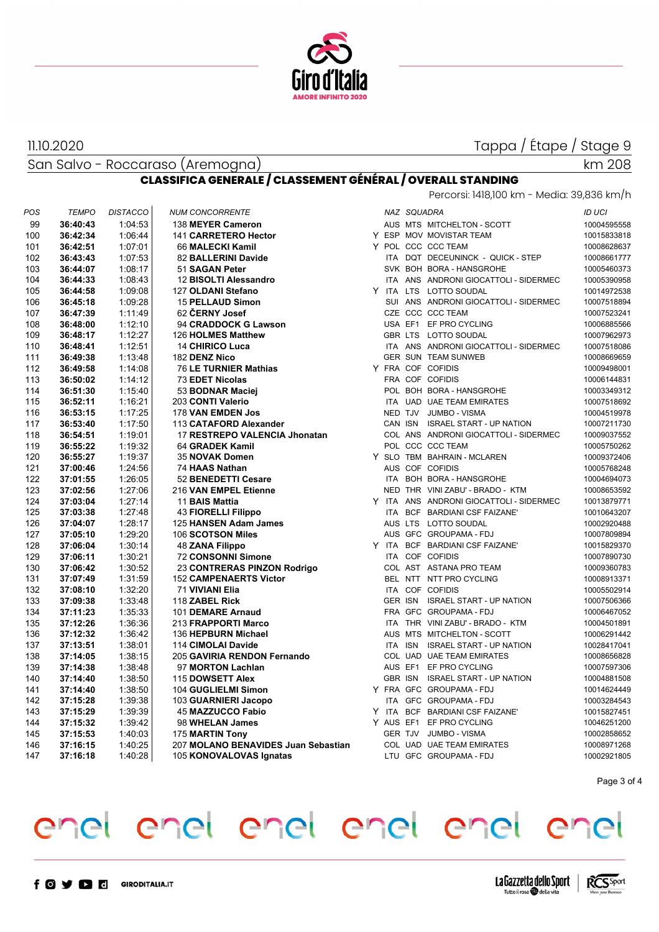

11.10.2020

San Salvo - Roccaraso (Aremogna)

#### km 208

#### **CLASSIFICA GENERALE / CLASSEMENT GÉNÉRAL / OVERALL STANDING**

| POS | <b>TEMPO</b> | <b>DISTACCO</b> | <b>NUM CONCORRENTE</b>              |  | NAZ SQUADRA                             | ID UCI      |
|-----|--------------|-----------------|-------------------------------------|--|-----------------------------------------|-------------|
| 99  | 36:40:43     | 1:04:53         | 138 MEYER Cameron                   |  | AUS MTS MITCHELTON - SCOTT              | 10004595558 |
| 100 | 36:42:34     | 1:06:44         | 141 CARRETERO Hector                |  | Y ESP MOV MOVISTAR TEAM                 | 10015833818 |
| 101 | 36:42:51     | 1:07:01         | 66 MALECKI Kamil                    |  | Y POL CCC CCC TEAM                      | 10008628637 |
| 102 | 36:43:43     | 1:07:53         | 82 BALLERINI Davide                 |  | ITA DQT DECEUNINCK - QUICK - STEP       | 10008661777 |
| 103 | 36:44:07     | 1:08:17         | 51 SAGAN Peter                      |  | SVK BOH BORA - HANSGROHE                | 10005460373 |
| 104 | 36:44:33     | 1:08:43         | 12 BISOLTI Alessandro               |  | ITA ANS ANDRONI GIOCATTOLI - SIDERMEC   | 10005390958 |
| 105 | 36:44:58     | 1:09:08         | 127 OLDANI Stefano                  |  | Y ITA LTS LOTTO SOUDAL                  | 10014972538 |
| 106 | 36:45:18     | 1:09:28         | <b>15 PELLAUD Simon</b>             |  | SUI ANS ANDRONI GIOCATTOLI - SIDERMEC   | 10007518894 |
| 107 | 36:47:39     | 1:11:49         | 62 ČERNY Josef                      |  | CZE CCC CCC TEAM                        | 10007523241 |
| 108 | 36:48:00     | 1:12:10         | 94 CRADDOCK G Lawson                |  | USA EF1 EF PRO CYCLING                  | 10006885566 |
| 109 | 36:48:17     | 1:12:27         | 126 HOLMES Matthew                  |  | GBR LTS LOTTO SOUDAL                    | 10007962973 |
| 110 | 36:48:41     | 1:12:51         | <b>14 CHIRICO Luca</b>              |  | ITA ANS ANDRONI GIOCATTOLI - SIDERMEC   | 10007518086 |
| 111 | 36:49:38     | 1:13:48         | 182 DENZ Nico                       |  | <b>GER SUN TEAM SUNWEB</b>              | 10008669659 |
| 112 | 36:49:58     | 1:14:08         | <b>76 LE TURNIER Mathias</b>        |  | Y FRA COF COFIDIS                       | 10009498001 |
| 113 | 36:50:02     | 1:14:12         | 73 EDET Nicolas                     |  | FRA COF COFIDIS                         | 10006144831 |
| 114 | 36:51:30     | 1:15:40         | 53 BODNAR Maciei                    |  | POL BOH BORA - HANSGROHE                | 10003349312 |
| 115 | 36:52:11     | 1:16:21         | 203 CONTI Valerio                   |  | ITA UAD UAE TEAM EMIRATES               | 10007518692 |
| 116 | 36:53:15     | 1:17:25         | 178 VAN EMDEN Jos                   |  | NED TJV JUMBO - VISMA                   | 10004519978 |
| 117 | 36:53:40     | 1:17:50         | 113 CATAFORD Alexander              |  | CAN ISN ISRAEL START - UP NATION        | 10007211730 |
| 118 | 36:54:51     | 1:19:01         | 17 RESTREPO VALENCIA Jhonatan       |  | COL ANS ANDRONI GIOCATTOLI - SIDERMEC   | 10009037552 |
| 119 | 36:55:22     | 1:19:32         | 64 GRADEK Kamil                     |  | POL CCC CCC TEAM                        | 10005750262 |
| 120 | 36:55:27     | 1:19:37         | 35 NOVAK Domen                      |  | Y SLO TBM BAHRAIN - MCLAREN             | 10009372406 |
| 121 | 37:00:46     | 1:24:56         | 74 HAAS Nathan                      |  | AUS COF COFIDIS                         | 10005768248 |
| 122 | 37:01:55     | 1:26:05         | 52 BENEDETTI Cesare                 |  | ITA BOH BORA - HANSGROHE                | 10004694073 |
| 123 | 37:02:56     | 1:27:06         | 216 VAN EMPEL Etienne               |  | NED THR VINI ZABU' - BRADO - KTM        | 10008653592 |
| 124 | 37:03:04     | 1:27:14         | 11 BAIS Mattia                      |  | Y ITA ANS ANDRONI GIOCATTOLI - SIDERMEC | 10013879771 |
| 125 | 37:03:38     | 1:27:48         | <b>43 FIORELLI Filippo</b>          |  | ITA BCF BARDIANI CSF FAIZANE'           | 10010643207 |
| 126 | 37:04:07     | 1:28:17         | 125 HANSEN Adam James               |  | AUS LTS LOTTO SOUDAL                    | 10002920488 |
| 127 | 37:05:10     | 1:29:20         | 106 SCOTSON Miles                   |  | AUS GFC GROUPAMA - FDJ                  | 10007809894 |
| 128 | 37:06:04     | 1:30:14         | <b>48 ZANA Filippo</b>              |  | Y ITA BCF BARDIANI CSF FAIZANE'         | 10015829370 |
| 129 | 37:06:11     | 1:30:21         | <b>72 CONSONNI Simone</b>           |  | ITA COF COFIDIS                         | 10007890730 |
| 130 | 37:06:42     | 1:30:52         | 23 CONTRERAS PINZON Rodrigo         |  | COL AST ASTANA PRO TEAM                 | 10009360783 |
| 131 | 37:07:49     | 1:31:59         | <b>152 CAMPENAERTS Victor</b>       |  | BEL NTT NTT PRO CYCLING                 | 10008913371 |
| 132 | 37:08:10     | 1:32:20         | <b>71 VIVIANI Elia</b>              |  | ITA COF COFIDIS                         | 10005502914 |
| 133 | 37:09:38     | 1:33:48         | 118 ZABEL Rick                      |  | GER ISN ISRAEL START - UP NATION        | 10007506366 |
| 134 | 37:11:23     | 1:35:33         | 101 DEMARE Arnaud                   |  | FRA GFC GROUPAMA - FDJ                  | 10006467052 |
| 135 | 37:12:26     | 1:36:36         | 213 FRAPPORTI Marco                 |  | ITA THR VINI ZABU' - BRADO - KTM        | 10004501891 |
| 136 | 37:12:32     | 1:36:42         | 136 HEPBURN Michael                 |  | AUS MTS MITCHELTON - SCOTT              | 10006291442 |
| 137 | 37:13:51     | 1:38:01         | 114 CIMOLAI Davide                  |  | ITA ISN ISRAEL START - UP NATION        | 10028417041 |
| 138 | 37:14:05     | 1:38:15         | 205 GAVIRIA RENDON Fernando         |  | COL UAD UAE TEAM EMIRATES               | 10008656828 |
| 139 | 37:14:38     | 1:38:48         | 97 MORTON Lachlan                   |  | AUS EF1 EF PRO CYCLING                  | 10007597306 |
| 140 | 37:14:40     | 1:38:50         | 115 DOWSETT Alex                    |  | GBR ISN ISRAEL START - UP NATION        | 10004881508 |
| 141 | 37:14:40     | 1:38:50         | 104 GUGLIELMI Simon                 |  | Y FRA GFC GROUPAMA-FDJ                  | 10014624449 |
| 142 | 37:15:28     | 1:39:38         | 103 GUARNIERI Jacopo                |  | ITA GFC GROUPAMA - FDJ                  | 10003284543 |
| 143 | 37:15:29     | 1:39:39         | <b>45 MAZZUCCO Fabio</b>            |  | Y ITA BCF BARDIANI CSF FAIZANE'         | 10015827451 |
| 144 | 37:15:32     | 1:39:42         | 98 WHELAN James                     |  | Y AUS EF1 EF PRO CYCLING                | 10046251200 |
| 145 | 37:15:53     | 1:40:03         | 175 MARTIN Tony                     |  | GER TJV JUMBO - VISMA                   | 10002858652 |
| 146 | 37:16:15     | 1:40:25         | 207 MOLANO BENAVIDES Juan Sebastian |  | COL UAD UAE TEAM EMIRATES               | 10008971268 |
| 147 | 37:16:18     | 1:40:28         |                                     |  | LTU GFC GROUPAMA - FDJ                  | 10002921805 |
|     |              |                 | 105 KONOVALOVAS Ignatas             |  |                                         |             |

Page 3 of 4

# enel enel enel enel enel  $e<sub>n</sub>$